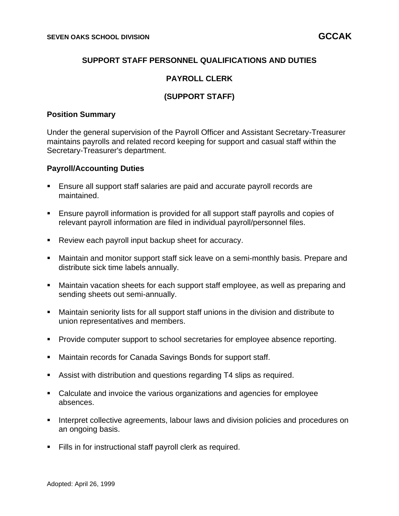# **SUPPORT STAFF PERSONNEL QUALIFICATIONS AND DUTIES**

### **PAYROLL CLERK**

# **(SUPPORT STAFF)**

#### **Position Summary**

Under the general supervision of the Payroll Officer and Assistant Secretary-Treasurer maintains payrolls and related record keeping for support and casual staff within the Secretary-Treasurer's department.

### **Payroll/Accounting Duties**

- Ensure all support staff salaries are paid and accurate payroll records are maintained.
- Ensure payroll information is provided for all support staff payrolls and copies of relevant payroll information are filed in individual payroll/personnel files.
- Review each payroll input backup sheet for accuracy.
- Maintain and monitor support staff sick leave on a semi-monthly basis. Prepare and distribute sick time labels annually.
- Maintain vacation sheets for each support staff employee, as well as preparing and sending sheets out semi-annually.
- Maintain seniority lists for all support staff unions in the division and distribute to union representatives and members.
- Provide computer support to school secretaries for employee absence reporting.
- Maintain records for Canada Savings Bonds for support staff.
- Assist with distribution and questions regarding T4 slips as required.
- Calculate and invoice the various organizations and agencies for employee absences.
- **EXECT** Interpret collective agreements, labour laws and division policies and procedures on an ongoing basis.
- Fills in for instructional staff payroll clerk as required.